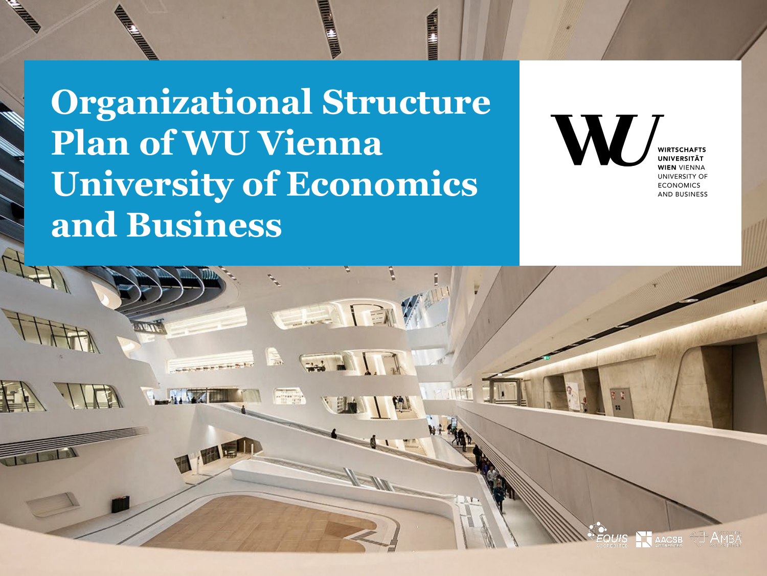**Organizational Structure Plan of WU Vienna University of Economics and Business**

**WIRTSCHAFTS INIVERSITÄT WIEN VIENNA UNIVERSITY OF ECONOMICS AND BUSINESS** 

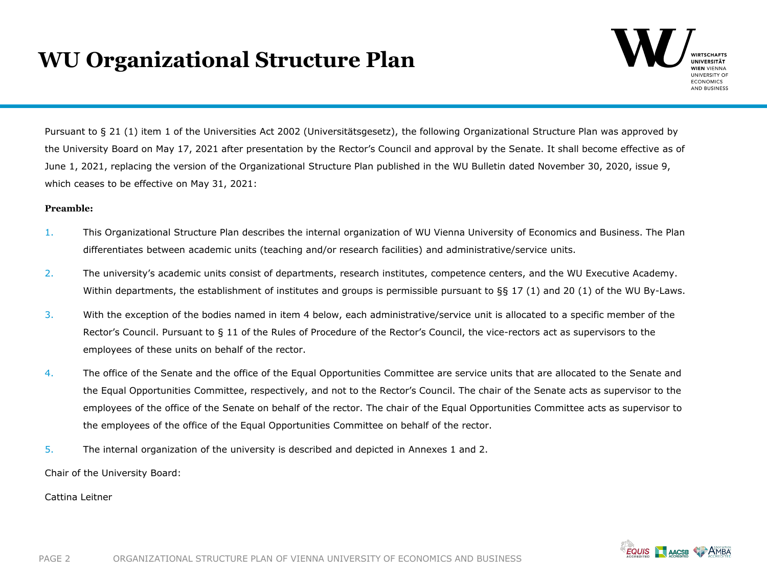# **WU Organizational Structure Plan**



Pursuant to § 21 (1) item 1 of the Universities Act 2002 (Universitätsgesetz), the following Organizational Structure Plan was approved by the University Board on May 17, 2021 after presentation by the Rector's Council and approval by the Senate. It shall become effective as of June 1, 2021, replacing the version of the Organizational Structure Plan published in the WU Bulletin dated November 30, 2020, issue 9, which ceases to be effective on May 31, 2021:

#### **Preamble:**

- 1. This Organizational Structure Plan describes the internal organization of WU Vienna University of Economics and Business. The Plan differentiates between academic units (teaching and/or research facilities) and administrative/service units.
- 2. The university's academic units consist of departments, research institutes, competence centers, and the WU Executive Academy. Within departments, the establishment of institutes and groups is permissible pursuant to §§ 17 (1) and 20 (1) of the WU By-Laws.
- 3. With the exception of the bodies named in item 4 below, each administrative/service unit is allocated to a specific member of the Rector's Council. Pursuant to § 11 of the Rules of Procedure of the Rector's Council, the vice-rectors act as supervisors to the employees of these units on behalf of the rector.
- 4. The office of the Senate and the office of the Equal Opportunities Committee are service units that are allocated to the Senate and the Equal Opportunities Committee, respectively, and not to the Rector's Council. The chair of the Senate acts as supervisor to the employees of the office of the Senate on behalf of the rector. The chair of the Equal Opportunities Committee acts as supervisor to the employees of the office of the Equal Opportunities Committee on behalf of the rector.
- 5. The internal organization of the university is described and depicted in Annexes 1 and 2.

Chair of the University Board:

Cattina Leitner

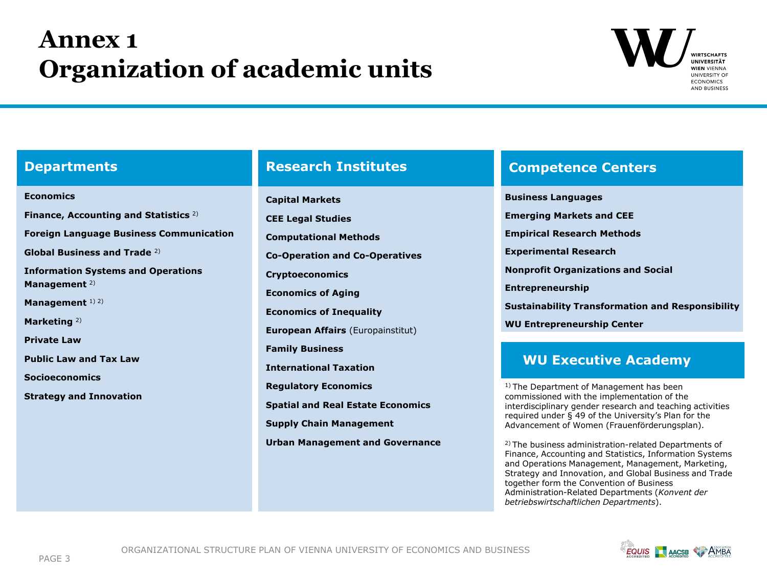# **Annex 1 Organization of academic units**



#### **Departments**

## **Economics Finance, Accounting and Statistics** 2) **Foreign Language Business Communication Global Business and Trade** 2) **Information Systems and Operations Management** 2) **Management** 1) 2) **Marketing** 2) **Private Law Public Law and Tax Law Socioeconomics Strategy and Innovation**

**Capital Markets CEE Legal Studies Computational Methods Co-Operation and Co-Operatives Cryptoeconomics Economics of Aging Economics of Inequality European Affairs** (Europainstitut) **Family Business International Taxation Regulatory Economics Spatial and Real Estate Economics Supply Chain Management Urban Management and Governance**

### **Research Institutes Competence Centers**

**Business Languages Emerging Markets and CEE Empirical Research Methods Experimental Research Nonprofit Organizations and Social Entrepreneurship Sustainability Transformation and Responsibility WU Entrepreneurship Center**

## **WU Executive Academy**

1) The Department of Management has been commissioned with the implementation of the interdisciplinary gender research and teaching activities required under § 49 of the University's Plan for the Advancement of Women (Frauenförderungsplan).

2) The business administration-related Departments of Finance, Accounting and Statistics, Information Systems and Operations Management, Management, Marketing, Strategy and Innovation, and Global Business and Trade together form the Convention of Business Administration-Related Departments (*Konvent der betriebswirtschaftlichen Departments*).